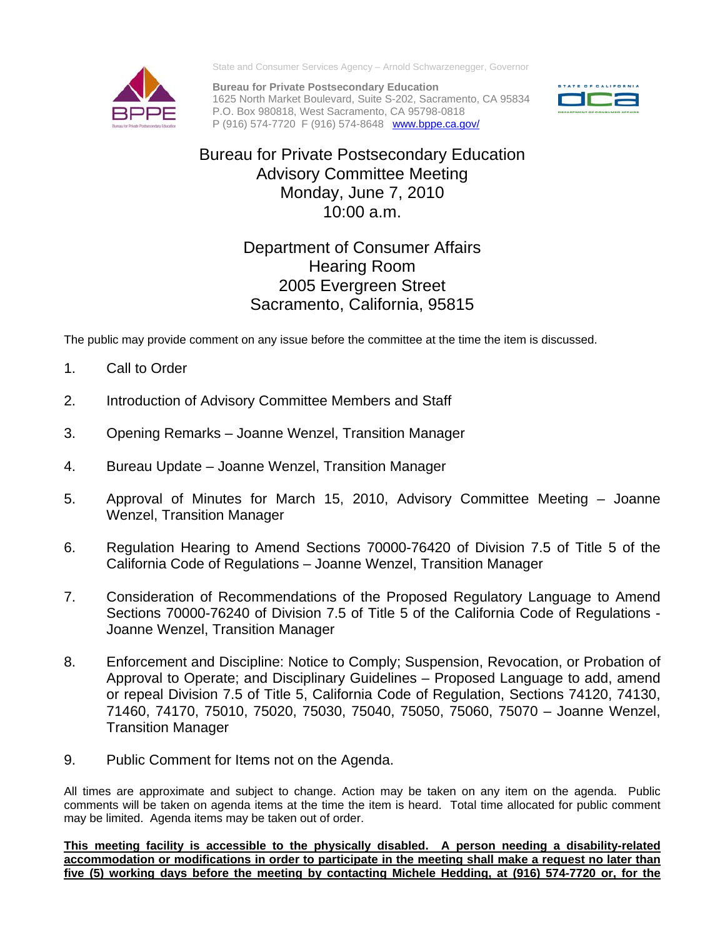

State and Consumer Services Agency – Arnold Schwarzenegger, Governor

**Bureau for Private Postsecondary Education**  1625 North Market Boulevard, Suite S-202, Sacramento, CA 95834 P.O. Box 980818, West Sacramento, CA 95798-0818 P (916) 574-7720 F (916) 574-8648 [www.bppe.ca.gov/](http://www.bppe.ca.gov/)



## Bureau for Private Postsecondary Education Advisory Committee Meeting Monday, June 7, 2010 10:00 a.m.

## Department of Consumer Affairs Hearing Room 2005 Evergreen Street Sacramento, California, 95815

The public may provide comment on any issue before the committee at the time the item is discussed.

- 1. Call to Order
- 2. Introduction of Advisory Committee Members and Staff
- 3. Opening Remarks Joanne Wenzel, Transition Manager
- 4. Bureau Update Joanne Wenzel, Transition Manager
- 5. Approval of Minutes for March 15, 2010, Advisory Committee Meeting Joanne Wenzel, Transition Manager
- 6. Regulation Hearing to Amend Sections 70000-76420 of Division 7.5 of Title 5 of the California Code of Regulations – Joanne Wenzel, Transition Manager
- 7. Consideration of Recommendations of the Proposed Regulatory Language to Amend Sections 70000-76240 of Division 7.5 of Title 5 of the California Code of Regulations - Joanne Wenzel, Transition Manager
- 8. Enforcement and Discipline: Notice to Comply; Suspension, Revocation, or Probation of Approval to Operate; and Disciplinary Guidelines – Proposed Language to add, amend or repeal Division 7.5 of Title 5, California Code of Regulation, Sections 74120, 74130, 71460, 74170, 75010, 75020, 75030, 75040, 75050, 75060, 75070 – Joanne Wenzel, Transition Manager
- 9. Public Comment for Items not on the Agenda.

All times are approximate and subject to change. Action may be taken on any item on the agenda. Public comments will be taken on agenda items at the time the item is heard. Total time allocated for public comment may be limited.Agenda items may be taken out of order.

**This meeting facility is accessible to the physically disabled. A person needing a disability-related accommodation or modifications in order to participate in the meeting shall make a request no later than five (5) working days before the meeting by contacting Michele Hedding, at (916) 574-7720 or, for the**